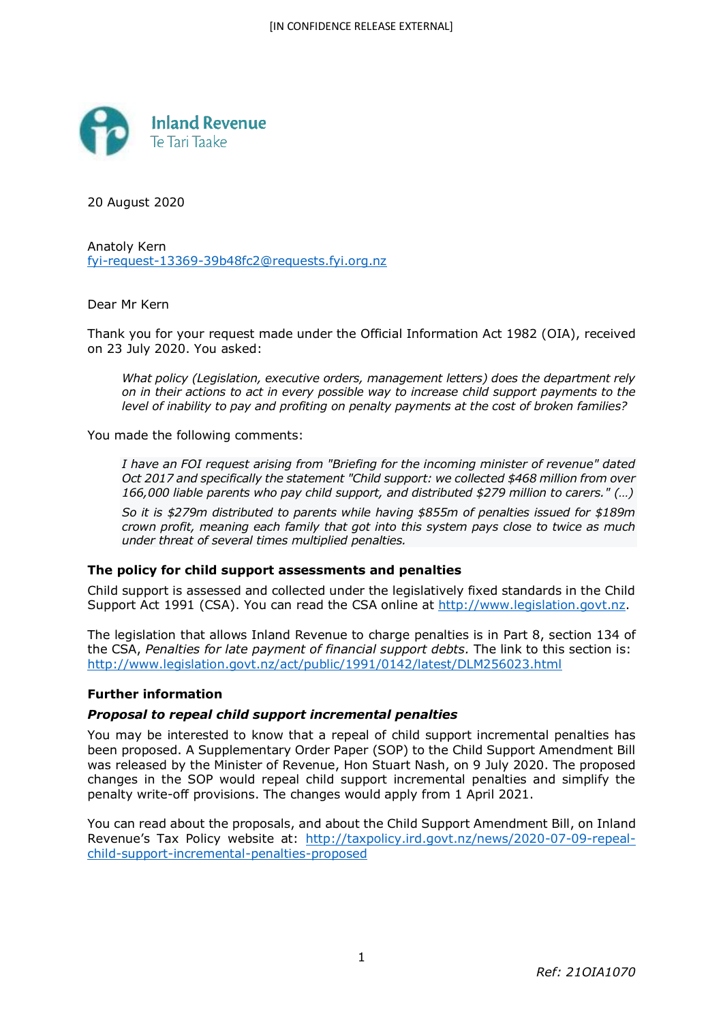

20 August 2020

Anatoly Kern fyi-request-13369-39b48fc2@requests.fyi.org.nz

Dear Mr Kern

Thank you for your request made under the Official Information Act 1982 (OIA), received on 23 July 2020. You asked:

*What policy (Legislation, executive orders, management letters) does the department rely on in their actions to act in every possible way to increase child support payments to the level of inability to pay and profiting on penalty payments at the cost of broken families?*

You made the following comments:

*I have an FOI request arising from "Briefing for the incoming minister of revenue" dated Oct 2017 and specifically the statement "Child support: we collected \$468 million from over 166,000 liable parents who pay child support, and distributed \$279 million to carers." (…)*

*So it is \$279m distributed to parents while having \$855m of penalties issued for \$189m crown profit, meaning each family that got into this system pays close to twice as much under threat of several times multiplied penalties.*

### **The policy for child support assessments and penalties**

Child support is assessed and collected under the legislatively fixed standards in the Child Support Act 1991 (CSA). You can read the CSA online at http://www.legislation.govt.nz.

The legislation that allows Inland Revenue to charge penalties is in Part 8, section 134 of the CSA, *Penalties for late payment of financial support debts.* The link to this section is: http://www.legislation.govt.nz/act/public/1991/0142/latest/DLM256023.html

### **Further information**

### *Proposal to repeal child support incremental penalties*

You may be interested to know that a repeal of child support incremental penalties has been proposed. A Supplementary Order Paper (SOP) to the Child Support Amendment Bill was released by the Minister of Revenue, Hon Stuart Nash, on 9 July 2020. The proposed changes in the SOP would repeal child support incremental penalties and simplify the penalty write-off provisions. The changes would apply from 1 April 2021.

You can read about the proposals, and about the Child Support Amendment Bill, on Inland Revenue's Tax Policy website at: http://taxpolicy.ird.govt.nz/news/2020-07-09-repealchild-support-incremental-penalties-proposed